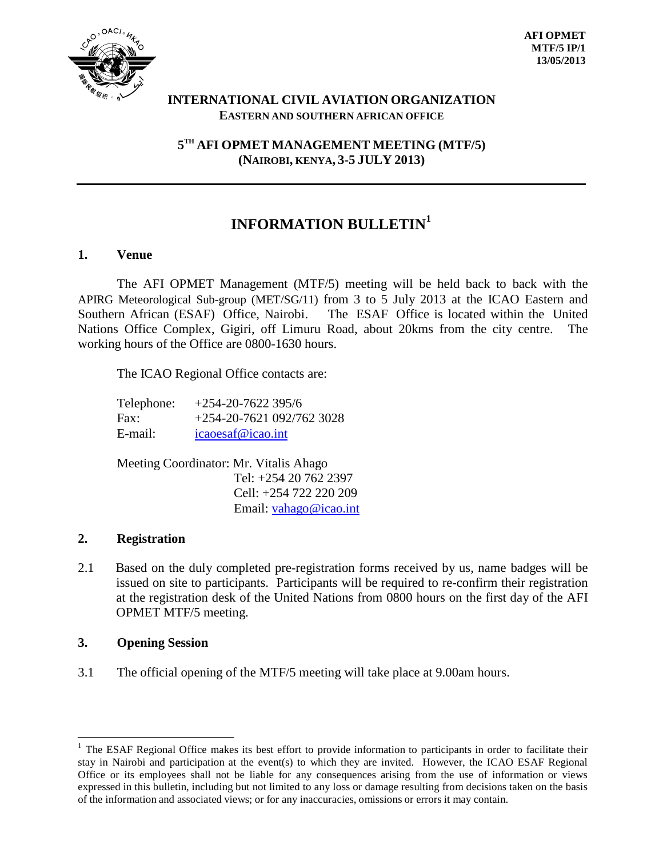

## **INTERNATIONAL CIVIL AVIATION ORGANIZATION EASTERN AND SOUTHERN AFRICAN OFFICE**

**5 TH AFI OPMET MANAGEMENT MEETING (MTF/5) (NAIROBI, KENYA, 3-5 JULY 2013)**

# **INFORMATION BULLETIN 1**

## **1. Venue**

The AFI OPMET Management (MTF/5) meeting will be held back to back with the APIRG Meteorological Sub-group (MET/SG/11) from 3 to 5 July 2013 at the ICAO Eastern and Southern African (ESAF) Office, Nairobi. The ESAF Office is located within the United Nations Office Complex, Gigiri, off Limuru Road, about 20kms from the city centre. The working hours of the Office are 0800-1630 hours.

The ICAO Regional Office contacts are:

| Telephone: | $+254-20-7622395/6$       |
|------------|---------------------------|
| Fax:       | $+254-20-7621092/7623028$ |
| E-mail:    | icaoesaf@icao.int         |

Meeting Coordinator: Mr. Vitalis Ahago Tel: +254 20 762 2397 Cell: +254 722 220 209 Email: [vahago@icao.int](mailto:vahago@icao.int)

## **2. Registration**

2.1 Based on the duly completed pre-registration forms received by us, name badges will be issued on site to participants. Participants will be required to re-confirm their registration at the registration desk of the United Nations from 0800 hours on the first day of the AFI OPMET MTF/5 meeting.

## **3. Opening Session**

3.1 The official opening of the MTF/5 meeting will take place at 9.00am hours.

 $1$  The ESAF Regional Office makes its best effort to provide information to participants in order to facilitate their stay in Nairobi and participation at the event(s) to which they are invited. However, the ICAO ESAF Regional Office or its employees shall not be liable for any consequences arising from the use of information or views expressed in this bulletin, including but not limited to any loss or damage resulting from decisions taken on the basis of the information and associated views; or for any inaccuracies, omissions or errors it may contain.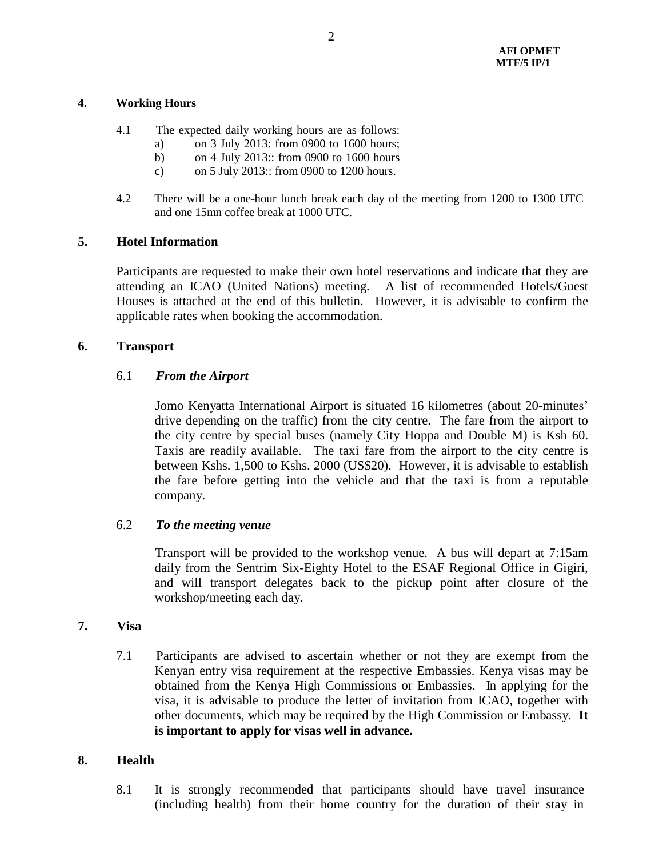#### **4. Working Hours**

- 4.1 The expected daily working hours are as follows:
	- a) on 3 July 2013: from 0900 to 1600 hours;
	- b) on 4 July 2013:: from 0900 to 1600 hours
	- c) on 5 July 2013:: from 0900 to 1200 hours.
- 4.2 There will be a one-hour lunch break each day of the meeting from 1200 to 1300 UTC and one 15mn coffee break at 1000 UTC.

#### **5. Hotel Information**

Participants are requested to make their own hotel reservations and indicate that they are attending an ICAO (United Nations) meeting. A list of recommended Hotels/Guest Houses is attached at the end of this bulletin. However, it is advisable to confirm the applicable rates when booking the accommodation.

#### **6. Transport**

#### 6.1 *From the Airport*

Jomo Kenyatta International Airport is situated 16 kilometres (about 20-minutes' drive depending on the traffic) from the city centre. The fare from the airport to the city centre by special buses (namely City Hoppa and Double M) is Ksh 60. Taxis are readily available. The taxi fare from the airport to the city centre is between Kshs. 1,500 to Kshs. 2000 (US\$20). However, it is advisable to establish the fare before getting into the vehicle and that the taxi is from a reputable company.

#### 6.2 *To the meeting venue*

Transport will be provided to the workshop venue. A bus will depart at 7:15am daily from the Sentrim Six-Eighty Hotel to the ESAF Regional Office in Gigiri, and will transport delegates back to the pickup point after closure of the workshop/meeting each day.

#### **7. Visa**

7.1 Participants are advised to ascertain whether or not they are exempt from the Kenyan entry visa requirement at the respective Embassies. Kenya visas may be obtained from the Kenya High Commissions or Embassies. In applying for the visa, it is advisable to produce the letter of invitation from ICAO, together with other documents, which may be required by the High Commission or Embassy. **It is important to apply for visas well in advance.**

#### **8. Health**

8.1 It is strongly recommended that participants should have travel insurance (including health) from their home country for the duration of their stay in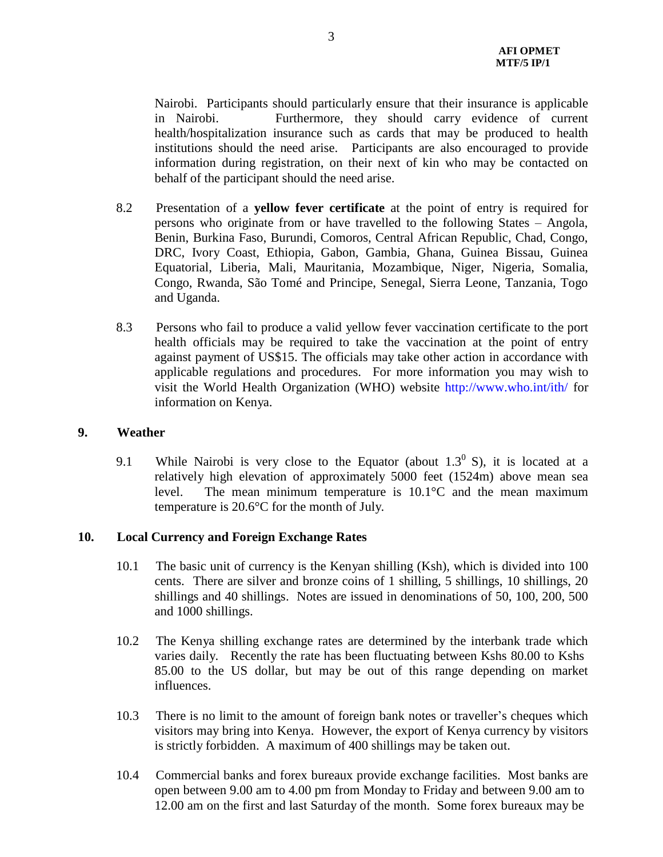Nairobi. Participants should particularly ensure that their insurance is applicable in Nairobi. Furthermore, they should carry evidence of current health/hospitalization insurance such as cards that may be produced to health institutions should the need arise. Participants are also encouraged to provide information during registration, on their next of kin who may be contacted on behalf of the participant should the need arise.

- 8.2 Presentation of a **yellow fever certificate** at the point of entry is required for persons who originate from or have travelled to the following States – Angola, Benin, Burkina Faso, Burundi, Comoros, Central African Republic, Chad, Congo, DRC, Ivory Coast, Ethiopia, Gabon, Gambia, Ghana, Guinea Bissau, Guinea Equatorial, Liberia, Mali, Mauritania, Mozambique, Niger, Nigeria, Somalia, Congo, Rwanda, São Tomé and Principe, Senegal, Sierra Leone, Tanzania, Togo and Uganda.
- 8.3 Persons who fail to produce a valid yellow fever vaccination certificate to the port health officials may be required to take the vaccination at the point of entry against payment of US\$15. The officials may take other action in accordance with applicable regulations and procedures. For more information you may wish to visit the World Health Organization (WHO) website <http://www.who.int/ith/> for information on Kenya.

#### **9. Weather**

9.1 While Nairobi is very close to the Equator (about  $1.3^{\circ}$  S), it is located at a relatively high elevation of approximately 5000 feet (1524m) above mean sea level. The mean minimum temperature is 10.1°C and the mean maximum temperature is 20.6°C for the month of July.

## **10. Local Currency and Foreign Exchange Rates**

- 10.1 The basic unit of currency is the Kenyan shilling (Ksh), which is divided into 100 cents. There are silver and bronze coins of 1 shilling, 5 shillings, 10 shillings, 20 shillings and 40 shillings. Notes are issued in denominations of 50, 100, 200, 500 and 1000 shillings.
- 10.2 The Kenya shilling exchange rates are determined by the interbank trade which varies daily. Recently the rate has been fluctuating between Kshs 80.00 to Kshs 85.00 to the US dollar, but may be out of this range depending on market influences.
- 10.3 There is no limit to the amount of foreign bank notes or traveller's cheques which visitors may bring into Kenya. However, the export of Kenya currency by visitors is strictly forbidden. A maximum of 400 shillings may be taken out.
- 10.4 Commercial banks and forex bureaux provide exchange facilities. Most banks are open between 9.00 am to 4.00 pm from Monday to Friday and between 9.00 am to 12.00 am on the first and last Saturday of the month. Some forex bureaux may be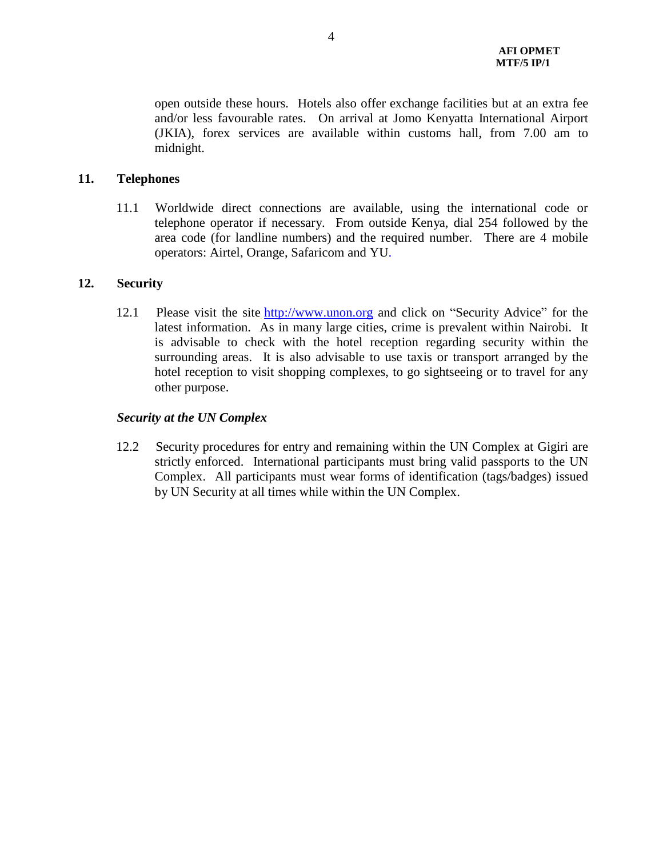open outside these hours. Hotels also offer exchange facilities but at an extra fee and/or less favourable rates. On arrival at Jomo Kenyatta International Airport (JKIA), forex services are available within customs hall, from 7.00 am to midnight.

### **11. Telephones**

11.1 Worldwide direct connections are available, using the international code or telephone operator if necessary. From outside Kenya, dial 254 followed by the area code (for landline numbers) and the required number. There are 4 mobile operators: Airtel, Orange, Safaricom and YU.

#### **12. Security**

12.1 Please visit the site [http://www.unon.org](http://www.unon.org/) and click on "Security Advice" for the latest information. As in many large cities, crime is prevalent within Nairobi. It is advisable to check with the hotel reception regarding security within the surrounding areas. It is also advisable to use taxis or transport arranged by the hotel reception to visit shopping complexes, to go sightseeing or to travel for any other purpose.

#### *Security at the UN Complex*

12.2 Security procedures for entry and remaining within the UN Complex at Gigiri are strictly enforced. International participants must bring valid passports to the UN Complex. All participants must wear forms of identification (tags/badges) issued by UN Security at all times while within the UN Complex.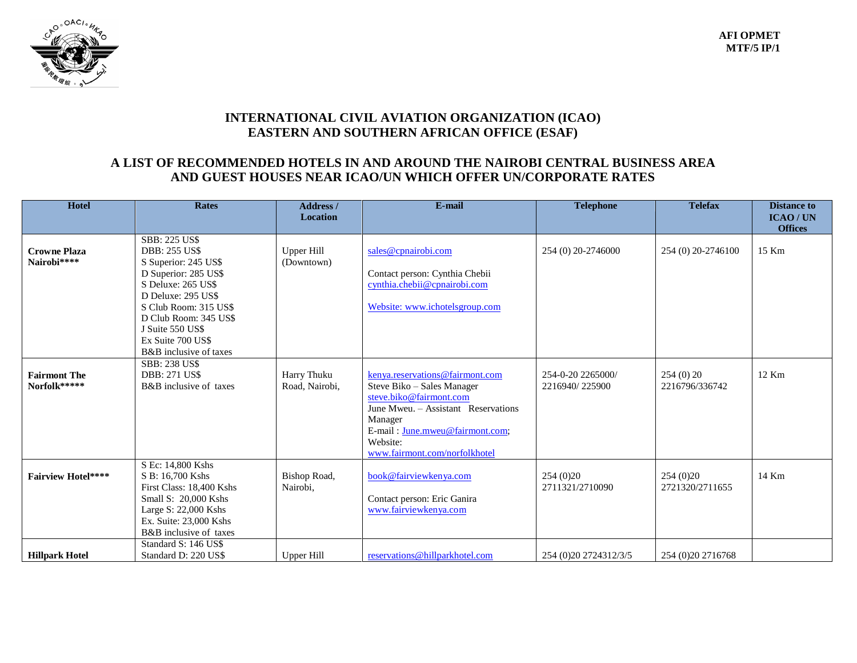

# **INTERNATIONAL CIVIL AVIATION ORGANIZATION (ICAO) EASTERN AND SOUTHERN AFRICAN OFFICE (ESAF)**

## **A LIST OF RECOMMENDED HOTELS IN AND AROUND THE NAIROBI CENTRAL BUSINESS AREA AND GUEST HOUSES NEAR ICAO/UN WHICH OFFER UN/CORPORATE RATES**

| Hotel                               | <b>Rates</b>                                                                                                                                                                                                                                                  | <b>Address</b> /<br><b>Location</b> | E-mail                                                                                                                                                                                                                     | <b>Telephone</b>                    | <b>Telefax</b>              | <b>Distance to</b><br><b>ICAO/UN</b> |
|-------------------------------------|---------------------------------------------------------------------------------------------------------------------------------------------------------------------------------------------------------------------------------------------------------------|-------------------------------------|----------------------------------------------------------------------------------------------------------------------------------------------------------------------------------------------------------------------------|-------------------------------------|-----------------------------|--------------------------------------|
| <b>Crowne Plaza</b><br>Nairobi****  | <b>SBB: 225 US\$</b><br><b>DBB: 255 US\$</b><br>S Superior: 245 US\$<br>D Superior: 285 US\$<br>S Deluxe: 265 US\$<br>D Deluxe: 295 US\$<br>S Club Room: 315 US\$<br>D Club Room: 345 US\$<br>J Suite 550 US\$<br>Ex Suite 700 US\$<br>B&B inclusive of taxes | <b>Upper Hill</b><br>(Downtown)     | sales@cpnairobi.com<br>Contact person: Cynthia Chebii<br>cynthia.chebii@cpnairobi.com<br>Website: www.ichotelsgroup.com                                                                                                    | 254 (0) 20-2746000                  | 254 (0) 20-2746100          | <b>Offices</b><br>15 Km              |
| <b>Fairmont The</b><br>Norfolk***** | <b>SBB: 238 US\$</b><br><b>DBB: 271 US\$</b><br>Harry Thuku<br>B&B inclusive of taxes<br>Road, Nairobi,                                                                                                                                                       |                                     | kenya.reservations@fairmont.com<br>Steve Biko - Sales Manager<br>steve.biko@fairmont.com<br>June Mweu. - Assistant Reservations<br>Manager<br>E-mail: June.mweu@fairmont.com;<br>Website:<br>www.fairmont.com/norfolkhotel | 254-0-20 2265000/<br>2216940/225900 | 254(0)20<br>2216796/336742  | 12 Km                                |
| <b>Fairview Hotel****</b>           | S Ec: 14,800 Kshs<br>S B: 16.700 Kshs<br>First Class: 18,400 Kshs<br>Small S: 20,000 Kshs<br>Large S: 22,000 Kshs<br>Ex. Suite: 23,000 Kshs<br>B&B inclusive of taxes                                                                                         | Bishop Road,<br>Nairobi,            | book@fairviewkenya.com<br>Contact person: Eric Ganira<br>www.fairviewkenva.com                                                                                                                                             | 254 (0) 20<br>2711321/2710090       | 254(0)20<br>2721320/2711655 | 14 Km                                |
| <b>Hillpark Hotel</b>               | Standard S: 146 US\$<br>Standard D: 220 US\$                                                                                                                                                                                                                  | Upper Hill                          | reservations@hillparkhotel.com                                                                                                                                                                                             | 254 (0) 20 27 24 3 1 2/3/5          | 254 (0) 20 2716768          |                                      |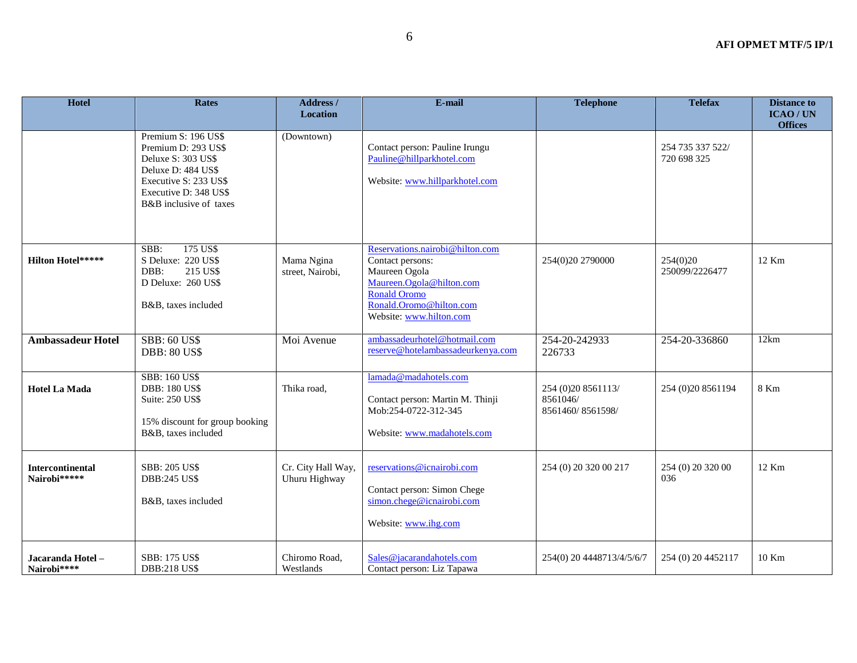| <b>Hotel</b>                            | <b>Rates</b>                                                                                                                                                       | Address /<br><b>Location</b>        | E-mail                                                                                                                                                                 | <b>Telephone</b>                                   | <b>Telefax</b>                  | <b>Distance to</b><br><b>ICAO/UN</b><br><b>Offices</b> |
|-----------------------------------------|--------------------------------------------------------------------------------------------------------------------------------------------------------------------|-------------------------------------|------------------------------------------------------------------------------------------------------------------------------------------------------------------------|----------------------------------------------------|---------------------------------|--------------------------------------------------------|
|                                         | Premium S: 196 US\$<br>Premium D: 293 US\$<br>Deluxe S: 303 US\$<br>Deluxe D: 484 US\$<br>Executive S: 233 US\$<br>Executive D: 348 US\$<br>B&B inclusive of taxes | (Downtown)                          | Contact person: Pauline Irungu<br>Pauline@hillparkhotel.com<br>Website: www.hillparkhotel.com                                                                          |                                                    | 254 735 337 522/<br>720 698 325 |                                                        |
| <b>Hilton Hotel*****</b>                | 175 US\$<br>SBB:<br>S Deluxe: 220 US\$<br>DBB:<br>215 US\$<br>D Deluxe: 260 US\$<br>B&B, taxes included                                                            | Mama Ngina<br>street, Nairobi,      | Reservations.nairobi@hilton.com<br>Contact persons:<br>Maureen Ogola<br>Maureen.Ogola@hilton.com<br>Ronald Oromo<br>Ronald.Oromo@hilton.com<br>Website: www.hilton.com | 254(0)20 2790000                                   | 254(0)20<br>250099/2226477      | 12 Km                                                  |
| <b>Ambassadeur Hotel</b>                | <b>SBB: 60 US\$</b><br><b>DBB: 80 US\$</b>                                                                                                                         | Moi Avenue                          | ambassadeurhotel@hotmail.com<br>reserve@hotelambassadeurkenya.com                                                                                                      | 254-20-242933<br>226733                            | 254-20-336860                   | 12km                                                   |
| <b>Hotel La Mada</b>                    | <b>SBB: 160 US\$</b><br><b>DBB: 180 US\$</b><br><b>Suite: 250 US\$</b><br>15% discount for group booking<br>B&B, taxes included                                    | Thika road,                         | lamada@madahotels.com<br>Contact person: Martin M. Thinji<br>Mob:254-0722-312-345<br>Website: www.madahotels.com                                                       | 254 (0)20 8561113/<br>8561046/<br>8561460/8561598/ | 254 (0) 20 8561194              | 8 Km                                                   |
| <b>Intercontinental</b><br>Nairobi***** | <b>SBB: 205 US\$</b><br><b>DBB:245 US\$</b><br>B&B, taxes included                                                                                                 | Cr. City Hall Way,<br>Uhuru Highway | reservations@icnairobi.com<br>Contact person: Simon Chege<br>simon.chege@icnairobi.com<br>Website: www.ihg.com                                                         | 254 (0) 20 320 00 217                              | 254 (0) 20 320 00<br>036        | 12 Km                                                  |
| Jacaranda Hotel-<br>Nairobi****         | SBB: 175 US\$<br><b>DBB:218 US\$</b>                                                                                                                               | Chiromo Road,<br>Westlands          | Sales@jacarandahotels.com<br>Contact person: Liz Tapawa                                                                                                                | 254(0) 20 4448713/4/5/6/7                          | 254 (0) 20 4452117              | 10 Km                                                  |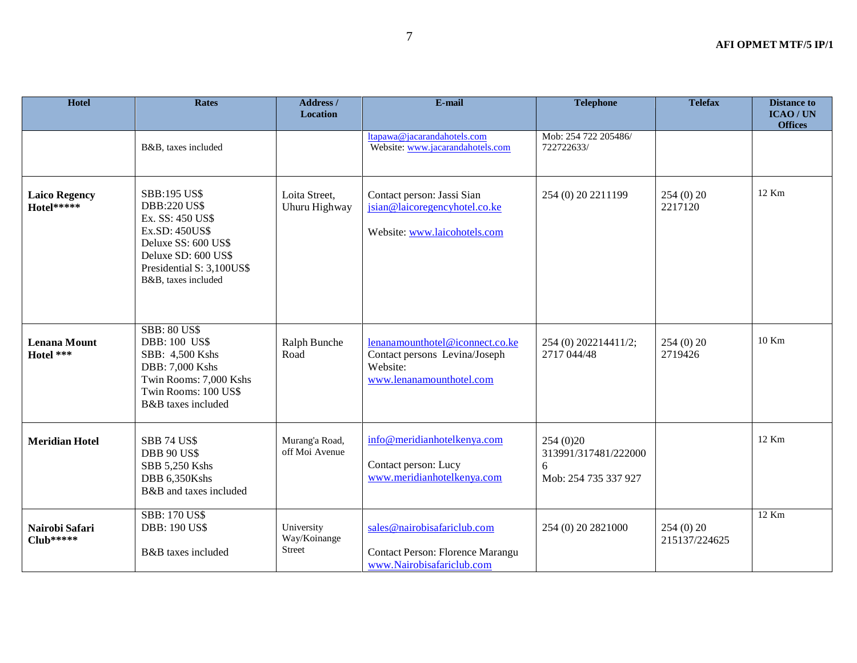| <b>Hotel</b>                       | <b>Rates</b>                                                                                                                                                                       | Address /<br><b>Location</b>                | E-mail                                                                                                   | <b>Telephone</b>                                              | <b>Telefax</b>            | <b>Distance to</b><br><b>ICAO/UN</b><br><b>Offices</b> |
|------------------------------------|------------------------------------------------------------------------------------------------------------------------------------------------------------------------------------|---------------------------------------------|----------------------------------------------------------------------------------------------------------|---------------------------------------------------------------|---------------------------|--------------------------------------------------------|
|                                    | B&B, taxes included                                                                                                                                                                |                                             | ltapawa@jacarandahotels.com<br>Website: www.jacarandahotels.com                                          | Mob: 254 722 205486/<br>722722633/                            |                           |                                                        |
| <b>Laico Regency</b><br>Hotel***** | <b>SBB:195 US\$</b><br><b>DBB:220 US\$</b><br>Ex. SS: 450 US\$<br>Ex.SD: 450US\$<br>Deluxe SS: 600 US\$<br>Deluxe SD: 600 US\$<br>Presidential S: 3,100US\$<br>B&B, taxes included | Loita Street,<br>Uhuru Highway              | Contact person: Jassi Sian<br>jsian@laicoregencyhotel.co.ke<br>Website: www.laicohotels.com              | 254 (0) 20 2211199                                            | 254(0)20<br>2217120       | 12 Km                                                  |
| <b>Lenana Mount</b><br>Hotel ***   | <b>SBB: 80 US\$</b><br><b>DBB: 100 US\$</b><br>SBB: 4,500 Kshs<br>DBB: 7,000 Kshs<br>Twin Rooms: 7,000 Kshs<br>Twin Rooms: 100 US\$<br>B&B taxes included                          | Ralph Bunche<br>Road                        | lenanamounthotel@iconnect.co.ke<br>Contact persons Levina/Joseph<br>Website:<br>www.lenanamounthotel.com | 254 (0) 202214411/2;<br>2717 044/48                           | 254(0)20<br>2719426       | 10 Km                                                  |
| <b>Meridian Hotel</b>              | <b>SBB 74 US\$</b><br><b>DBB 90 US\$</b><br>SBB 5,250 Kshs<br>DBB 6,350Kshs<br>B&B and taxes included                                                                              | Murang'a Road,<br>off Moi Avenue            | info@meridianhotelkenya.com<br>Contact person: Lucy<br>www.meridianhotelkenya.com                        | 254(0)20<br>313991/317481/222000<br>6<br>Mob: 254 735 337 927 |                           | 12 Km                                                  |
| Nairobi Safari<br>$Club*****$      | <b>SBB: 170 US\$</b><br><b>DBB: 190 US\$</b><br>B&B taxes included                                                                                                                 | University<br>Way/Koinange<br><b>Street</b> | sales@nairobisafariclub.com<br>Contact Person: Florence Marangu<br>www.Nairobisafariclub.com             | 254 (0) 20 2821000                                            | 254(0)20<br>215137/224625 | $12$ Km                                                |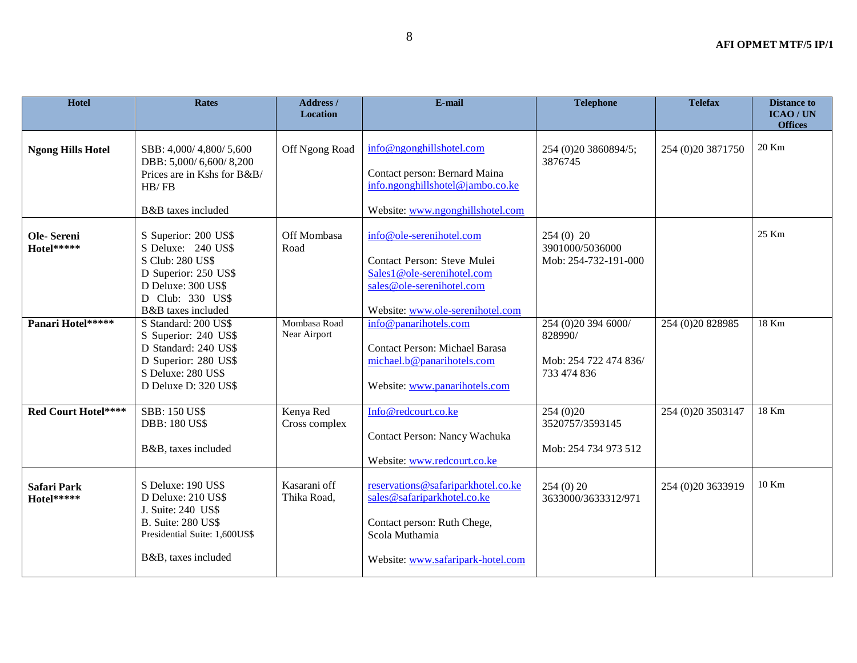| <b>Hotel</b>                     | <b>Rates</b>                                                                                                                                           | Address /<br><b>Location</b> | E-mail                                                                                                                                                  | <b>Telephone</b>                                                       | <b>Telefax</b>       | <b>Distance to</b><br><b>ICAO/UN</b><br><b>Offices</b> |
|----------------------------------|--------------------------------------------------------------------------------------------------------------------------------------------------------|------------------------------|---------------------------------------------------------------------------------------------------------------------------------------------------------|------------------------------------------------------------------------|----------------------|--------------------------------------------------------|
| <b>Ngong Hills Hotel</b>         | SBB: 4,000/4,800/5,600<br>DBB: 5,000/6,600/8,200<br>Prices are in Kshs for B&B/<br>HB/FB<br>B&B taxes included                                         | Off Ngong Road               | info@ngonghillshotel.com<br>Contact person: Bernard Maina<br>info.ngonghillshotel@jambo.co.ke<br>Website: www.ngonghillshotel.com                       | 254 (0)20 3860894/5;<br>3876745                                        | 254 (0) 20 3871750   | 20 Km                                                  |
| Ole-Sereni<br>Hotel*****         | S Superior: 200 US\$<br>S Deluxe: 240 US\$<br>S Club: 280 US\$<br>D Superior: 250 US\$<br>D Deluxe: 300 US\$<br>D Club: 330 US\$<br>B&B taxes included | Off Mombasa<br>Road          | info@ole-serenihotel.com<br>Contact Person: Steve Mulei<br>Sales1@ole-serenihotel.com<br>sales@ole-serenihotel.com<br>Website: www.ole-serenihotel.com  | $254(0)$ 20<br>3901000/5036000<br>Mob: 254-732-191-000                 |                      | $25$ Km                                                |
| Panari Hotel*****                | S Standard: 200 US\$<br>S Superior: 240 US\$<br>D Standard: 240 US\$<br>D Superior: 280 US\$<br>S Deluxe: 280 US\$<br>D Deluxe D: 320 US\$             | Mombasa Road<br>Near Airport | info@panarihotels.com<br><b>Contact Person: Michael Barasa</b><br>michael.b@panarihotels.com<br>Website: www.panarihotels.com                           | 254 (0)20 394 6000/<br>828990/<br>Mob: 254 722 474 836/<br>733 474 836 | 254 (0) 20 8 289 85  | 18 Km                                                  |
| Red Court Hotel****              | <b>SBB: 150 US\$</b><br><b>DBB: 180 US\$</b><br>B&B, taxes included                                                                                    | Kenya Red<br>Cross complex   | Info@redcourt.co.ke<br>Contact Person: Nancy Wachuka<br>Website: www.redcourt.co.ke                                                                     | 254(0)20<br>3520757/3593145<br>Mob: 254 734 973 512                    | 254 (0) 20 35 03 147 | 18 Km                                                  |
| <b>Safari Park</b><br>Hotel***** | S Deluxe: 190 US\$<br>D Deluxe: 210 US\$<br>J. Suite: 240 US\$<br><b>B.</b> Suite: 280 US\$<br>Presidential Suite: 1,600US\$<br>B&B, taxes included    | Kasarani off<br>Thika Road,  | reservations@safariparkhotel.co.ke<br>sales@safariparkhotel.co.ke<br>Contact person: Ruth Chege,<br>Scola Muthamia<br>Website: www.safaripark-hotel.com | 254(0)20<br>3633000/3633312/971                                        | 254 (0) 20 3633919   | 10 Km                                                  |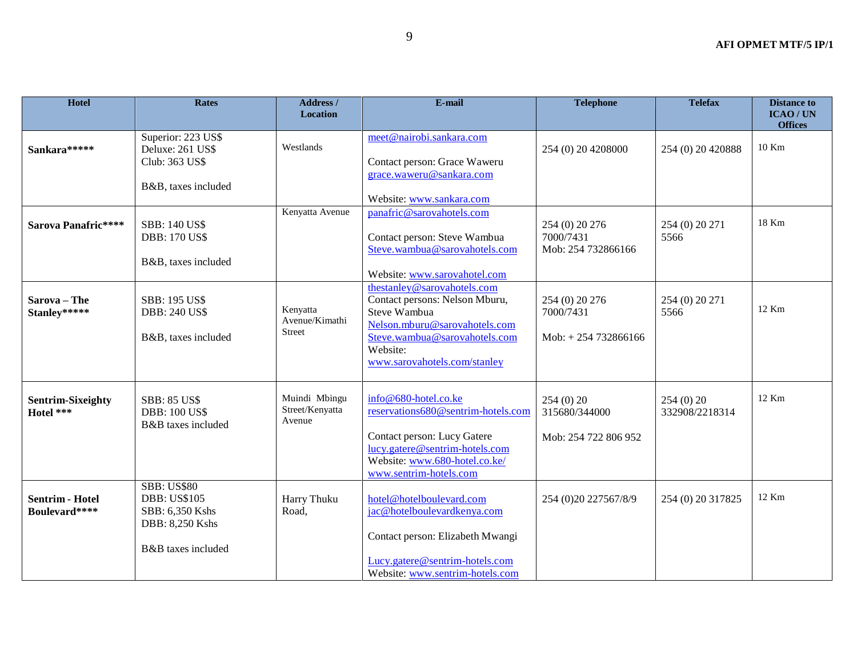| <b>Hotel</b>                            | <b>Rates</b>                                                                                          | Address /<br>Location                       | E-mail                                                                                                                                                                                      | <b>Telephone</b>                                      | <b>Telefax</b>             | <b>Distance to</b><br><b>ICAO/UN</b><br><b>Offices</b> |
|-----------------------------------------|-------------------------------------------------------------------------------------------------------|---------------------------------------------|---------------------------------------------------------------------------------------------------------------------------------------------------------------------------------------------|-------------------------------------------------------|----------------------------|--------------------------------------------------------|
| Sankara*****                            | Superior: 223 US\$<br>Deluxe: 261 US\$<br>Club: 363 US\$<br>B&B, taxes included                       | Westlands                                   | meet@nairobi.sankara.com<br>Contact person: Grace Waweru<br>grace.waweru@sankara.com<br>Website: www.sankara.com                                                                            | 254 (0) 20 4208000                                    | 254 (0) 20 420888          | 10 Km                                                  |
| Sarova Panafric****                     | <b>SBB: 140 US\$</b><br><b>DBB: 170 US\$</b><br>B&B, taxes included                                   | Kenyatta Avenue                             | panafric@sarovahotels.com<br>Contact person: Steve Wambua<br>Steve.wambua@sarovahotels.com<br>Website: www.sarovahotel.com                                                                  | 254 (0) 20 276<br>7000/7431<br>Mob: 254 732866166     | 254 (0) 20 271<br>5566     | 18 Km                                                  |
| Sarova - The<br>Stanley*****            | SBB: 195 US\$<br><b>DBB: 240 US\$</b><br>B&B, taxes included                                          | Kenyatta<br>Avenue/Kimathi<br><b>Street</b> | thestanley@sarovahotels.com<br>Contact persons: Nelson Mburu,<br>Steve Wambua<br>Nelson.mburu@sarovahotels.com<br>Steve.wambua@sarovahotels.com<br>Website:<br>www.sarovahotels.com/stanley | 254 (0) 20 276<br>7000/7431<br>$Mob: + 254 732866166$ | 254 (0) 20 271<br>5566     | 12 Km                                                  |
| <b>Sentrim-Sixeighty</b><br>Hotel ***   | <b>SBB: 85 US\$</b><br><b>DBB: 100 US\$</b><br>B&B taxes included                                     | Muindi Mbingu<br>Street/Kenyatta<br>Avenue  | info@680-hotel.co.ke<br>reservations680@sentrim-hotels.com<br>Contact person: Lucy Gatere<br>lucy.gatere@sentrim-hotels.com<br>Website: www.680-hotel.co.ke/<br>www.sentrim-hotels.com      | 254(0)20<br>315680/344000<br>Mob: 254 722 806 952     | 254(0)20<br>332908/2218314 | $12$ Km                                                |
| <b>Sentrim - Hotel</b><br>Boulevard**** | <b>SBB: US\$80</b><br><b>DBB: US\$105</b><br>SBB: 6,350 Kshs<br>DBB: 8,250 Kshs<br>B&B taxes included | Harry Thuku<br>Road,                        | hotel@hotelboulevard.com<br>jac@hotelboulevardkenya.com<br>Contact person: Elizabeth Mwangi<br>Lucy.gatere@sentrim-hotels.com<br>Website: www.sentrim-hotels.com                            | 254 (0)20 227567/8/9                                  | 254 (0) 20 317825          | 12 Km                                                  |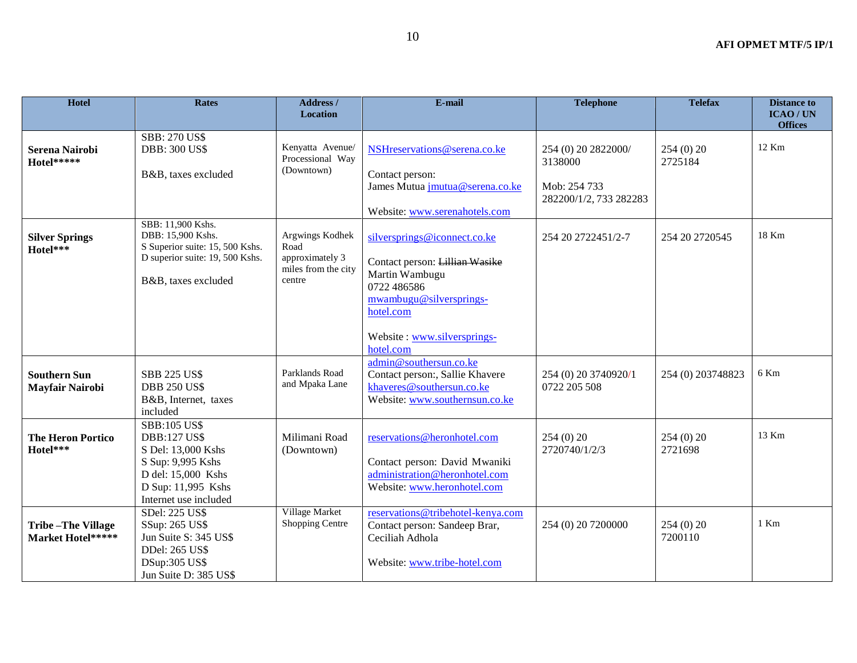| Hotel                                         | <b>Rates</b>                                                                                                                                               | Address /<br>Location                                                       | E-mail                                                                                                                                                                              | <b>Telephone</b>                                                         | <b>Telefax</b>      | <b>Distance to</b><br>ICAO / UN<br><b>Offices</b> |
|-----------------------------------------------|------------------------------------------------------------------------------------------------------------------------------------------------------------|-----------------------------------------------------------------------------|-------------------------------------------------------------------------------------------------------------------------------------------------------------------------------------|--------------------------------------------------------------------------|---------------------|---------------------------------------------------|
| <b>Serena Nairobi</b><br>Hotel*****           | <b>SBB: 270 US\$</b><br><b>DBB: 300 US\$</b><br>B&B, taxes excluded                                                                                        | Kenyatta Avenue/<br>Processional Way<br>(Downtown)                          | NSHreservations@serena.co.ke<br>Contact person:<br>James Mutua <i>jmutua@serena.co.ke</i><br>Website: www.serenahotels.com                                                          | 254 (0) 20 2822000/<br>3138000<br>Mob: 254 733<br>282200/1/2, 733 282283 | 254(0)20<br>2725184 | 12 Km                                             |
| <b>Silver Springs</b><br>Hotel***             | SBB: 11,900 Kshs.<br>DBB: 15,900 Kshs.<br>S Superior suite: 15, 500 Kshs.<br>D superior suite: 19, 500 Kshs.<br>B&B, taxes excluded                        | Argwings Kodhek<br>Road<br>approximately 3<br>miles from the city<br>centre | silversprings@iconnect.co.ke<br>Contact person: Lillian Wasike<br>Martin Wambugu<br>0722 486586<br>mwambugu@silversprings-<br>hotel.com<br>Website: www.silversprings-<br>hotel.com | 254 20 2722451/2-7                                                       | 254 20 27 20545     | 18 Km                                             |
| <b>Southern Sun</b><br><b>Mayfair Nairobi</b> | <b>SBB 225 US\$</b><br><b>DBB 250 US\$</b><br>B&B, Internet, taxes<br>included                                                                             | Parklands Road<br>and Mpaka Lane                                            | admin@southersun.co.ke<br>Contact person:, Sallie Khavere<br>khaveres@southersun.co.ke<br>Website: www.southernsun.co.ke                                                            | 254 (0) 20 3740920/1<br>0722 205 508                                     | 254 (0) 203748823   | 6 Km                                              |
| <b>The Heron Portico</b><br>Hotel***          | <b>SBB:105 US\$</b><br><b>DBB:127 US\$</b><br>S Del: 13,000 Kshs<br>S Sup: 9,995 Kshs<br>D del: 15,000 Kshs<br>D Sup: 11,995 Kshs<br>Internet use included | Milimani Road<br>(Downtown)                                                 | reservations@heronhotel.com<br>Contact person: David Mwaniki<br>administration@heronhotel.com<br>Website: www.heronhotel.com                                                        | 254(0)20<br>2720740/1/2/3                                                | 254(0)20<br>2721698 | 13 Km                                             |
| <b>Tribe-The Village</b><br>Market Hotel***** | SDel: 225 US\$<br>SSup: 265 US\$<br>Jun Suite S: 345 US\$<br>DDel: 265 US\$<br>DSup:305 US\$<br>Jun Suite D: 385 US\$                                      | Village Market<br>Shopping Centre                                           | reservations@tribehotel-kenya.com<br>Contact person: Sandeep Brar,<br>Ceciliah Adhola<br>Website: www.tribe-hotel.com                                                               | 254 (0) 20 7200000                                                       | 254(0)20<br>7200110 | 1 Km                                              |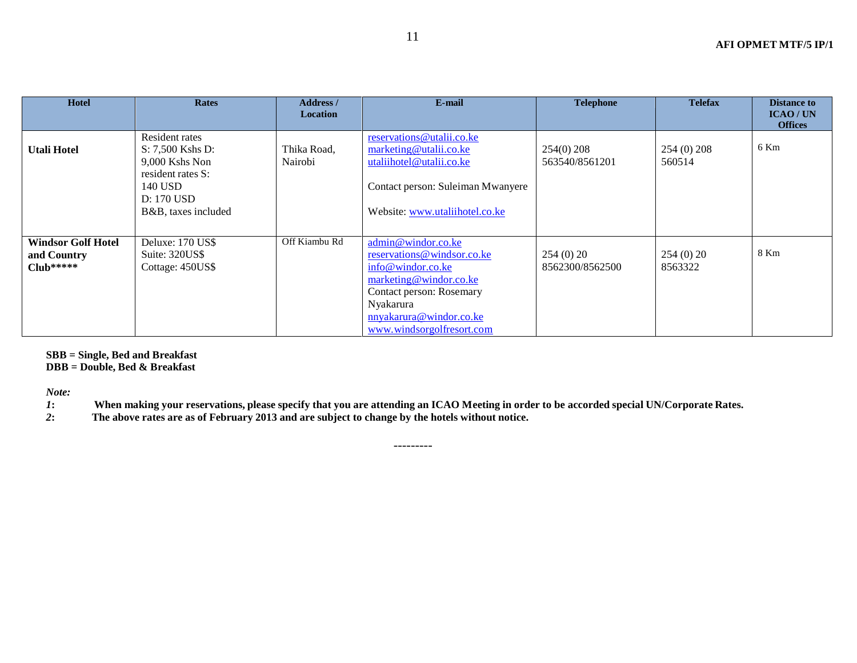| <b>Hotel</b>                                            | <b>Rates</b>                                                                                                              | Address /<br><b>Location</b> | E-mail                                                                                                                                                                                           | <b>Telephone</b>               | <b>Telefax</b>        | <b>Distance to</b><br><b>ICAO/UN</b><br><b>Offices</b> |
|---------------------------------------------------------|---------------------------------------------------------------------------------------------------------------------------|------------------------------|--------------------------------------------------------------------------------------------------------------------------------------------------------------------------------------------------|--------------------------------|-----------------------|--------------------------------------------------------|
| Utali Hotel                                             | Resident rates<br>S: 7,500 Kshs D:<br>9,000 Kshs Non<br>resident rates S:<br>140 USD<br>D: 170 USD<br>B&B, taxes included | Thika Road,<br>Nairobi       | reservations@utalii.co.ke<br>marketing@utalii.co.ke<br>utaliihotel@utalii.co.ke<br>Contact person: Suleiman Mwanyere<br>Website: www.utaliihotel.co.ke                                           | $254(0)$ 208<br>563540/8561201 | 254 (0) 208<br>560514 | 6 Km                                                   |
| <b>Windsor Golf Hotel</b><br>and Country<br>$Club*****$ | Deluxe: 170 US\$<br>Suite: 320US\$<br>Cottage: 450US\$                                                                    | Off Kiambu Rd                | admin@windor.co.ke<br>reservations@windsor.co.ke<br>info@windor.co.ke<br>marketing@windor.co.ke<br>Contact person: Rosemary<br>Nyakarura<br>nnyakarura@windor.co.ke<br>www.windsorgolfresort.com | 254(0)20<br>8562300/8562500    | 254(0)20<br>8563322   | 8 Km                                                   |

**SBB = Single, Bed and Breakfast**

**DBB = Double, Bed & Breakfast**

*Note:*

1: When making your reservations, please specify that you are attending an ICAO Meeting in order to be accorded special UN/Corporate Rates.

---------

*2***: The above rates are as of February 2013 and are subject to change by the hotels without notice.**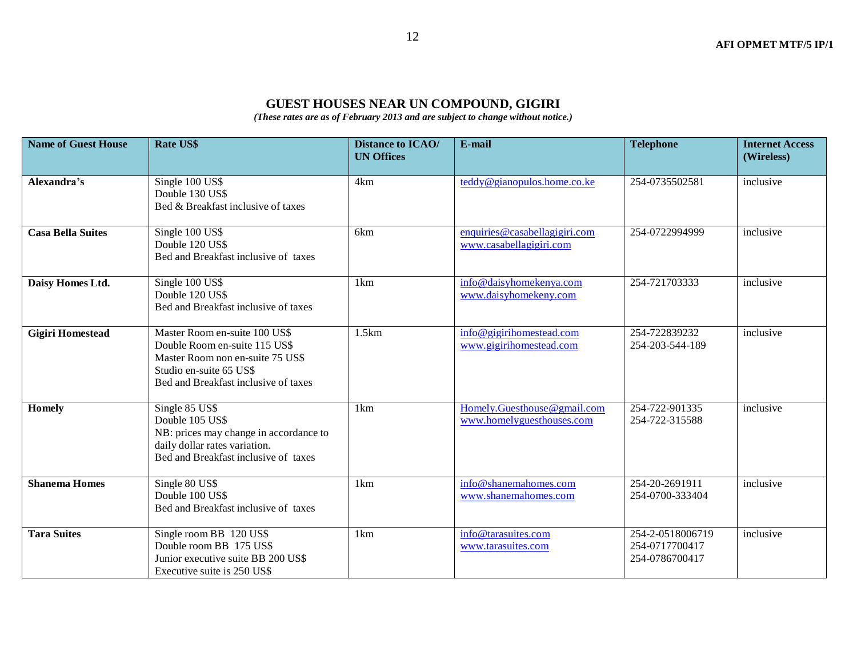#### **GUEST HOUSES NEAR UN COMPOUND, GIGIRI**

*(These rates are as of February 2013 and are subject to change without notice.)*

| <b>Name of Guest House</b> | <b>Rate US\$</b>                                                                                                                                                      | <b>Distance to ICAO/</b><br><b>UN Offices</b> | E-mail                                                   | <b>Telephone</b>                                     | <b>Internet Access</b><br>(Wireless) |
|----------------------------|-----------------------------------------------------------------------------------------------------------------------------------------------------------------------|-----------------------------------------------|----------------------------------------------------------|------------------------------------------------------|--------------------------------------|
| Alexandra's                | Single 100 US\$<br>Double 130 US\$<br>Bed & Breakfast inclusive of taxes                                                                                              | 4km                                           | teddy@gianopulos.home.co.ke                              | 254-0735502581                                       | inclusive                            |
| <b>Casa Bella Suites</b>   | Single 100 US\$<br>Double 120 US\$<br>Bed and Breakfast inclusive of taxes                                                                                            | 6 <sub>km</sub>                               | enquiries@casabellagigiri.com<br>www.casabellagigiri.com | 254-0722994999                                       | inclusive                            |
| Daisy Homes Ltd.           | Single 100 US\$<br>Double 120 US\$<br>Bed and Breakfast inclusive of taxes                                                                                            | 1km                                           | info@daisyhomekenya.com<br>www.daisyhomekeny.com         | 254-721703333                                        | inclusive                            |
| <b>Gigiri Homestead</b>    | Master Room en-suite 100 US\$<br>Double Room en-suite 115 US\$<br>Master Room non en-suite 75 US\$<br>Studio en-suite 65 US\$<br>Bed and Breakfast inclusive of taxes | 1.5km                                         | info@gigirihomestead.com<br>www.gigirihomestead.com      | 254-722839232<br>254-203-544-189                     | inclusive                            |
| <b>Homely</b>              | Single 85 US\$<br>Double 105 US\$<br>NB: prices may change in accordance to<br>daily dollar rates variation.<br>Bed and Breakfast inclusive of taxes                  | 1km                                           | Homely.Guesthouse@gmail.com<br>www.homelyguesthouses.com | 254-722-901335<br>254-722-315588                     | inclusive                            |
| <b>Shanema Homes</b>       | Single 80 US\$<br>Double 100 US\$<br>Bed and Breakfast inclusive of taxes                                                                                             | 1km                                           | info@shanemahomes.com<br>www.shanemahomes.com            | 254-20-2691911<br>254-0700-333404                    | inclusive                            |
| <b>Tara Suites</b>         | Single room BB 120 US\$<br>Double room BB 175 US\$<br>Junior executive suite BB 200 US\$<br>Executive suite is 250 US\$                                               | 1km                                           | info@tarasuites.com<br>www.tarasuites.com                | 254-2-0518006719<br>254-0717700417<br>254-0786700417 | inclusive                            |